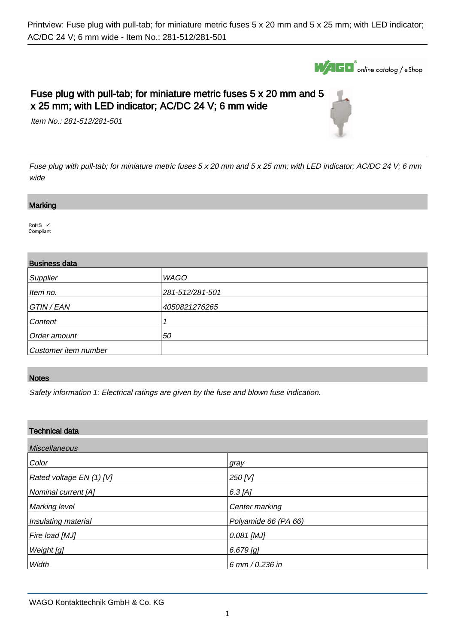

# Fuse plug with pull-tab; for miniature metric fuses 5 x 20 mm and 5 x 25 mm; with LED indicator; AC/DC 24 V; 6 mm wide

Item No.: 281-512/281-501

Fuse plug with pull-tab; for miniature metric fuses 5 x 20 mm and 5 x 25 mm; with LED indicator; AC/DC 24 V; 6 mm wide

## **Marking**

.

.

RoHS V Compliant

#### Business data

| Dusilicas udia       |                 |
|----------------------|-----------------|
| Supplier             | <b>WAGO</b>     |
| Item no.             | 281-512/281-501 |
| GTIN / EAN           | 4050821276265   |
| Content              |                 |
| Order amount         | 50              |
| Customer item number |                 |

## **Notes**

.

Safety information 1: Electrical ratings are given by the fuse and blown fuse indication.

| <b>Technical data</b>    |                      |  |
|--------------------------|----------------------|--|
| <b>Miscellaneous</b>     |                      |  |
| Color                    | gray                 |  |
| Rated voltage EN (1) [V] | 250 [V]              |  |
| Nominal current [A]      | 6.3 [A]              |  |
| Marking level            | Center marking       |  |
| Insulating material      | Polyamide 66 (PA 66) |  |
| Fire load [MJ]           | $0.081$ [MJ]         |  |
| Weight [g]               | $6.679$ [g]          |  |
| Width                    | 6 mm / 0.236 in      |  |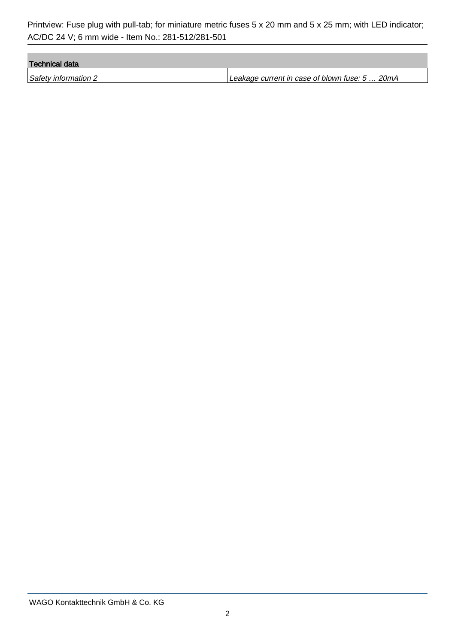| <b>Technical data</b> |                                                |
|-----------------------|------------------------------------------------|
| Safety information 2  | Leakage current in case of blown fuse: 5  20mA |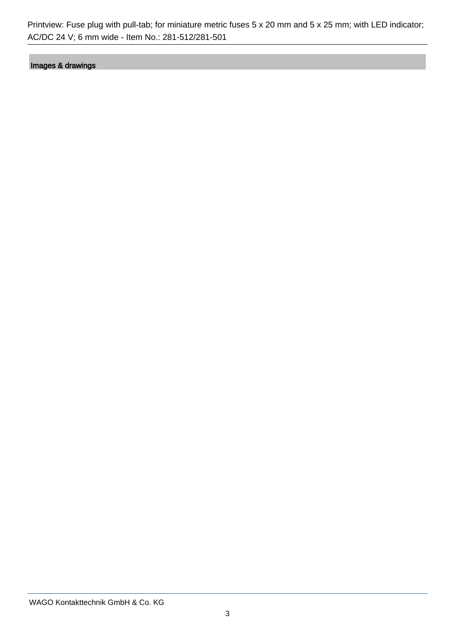Images & drawings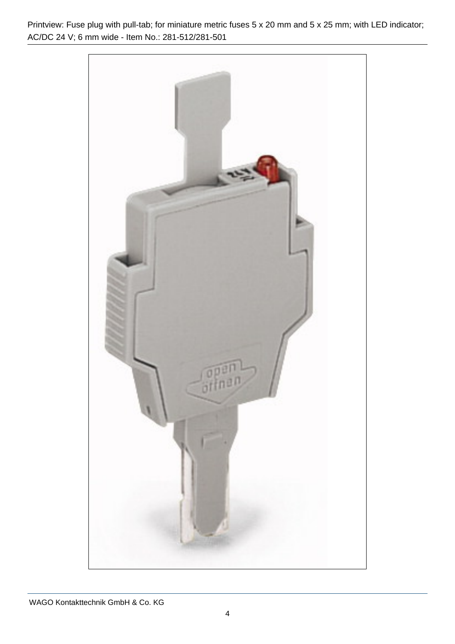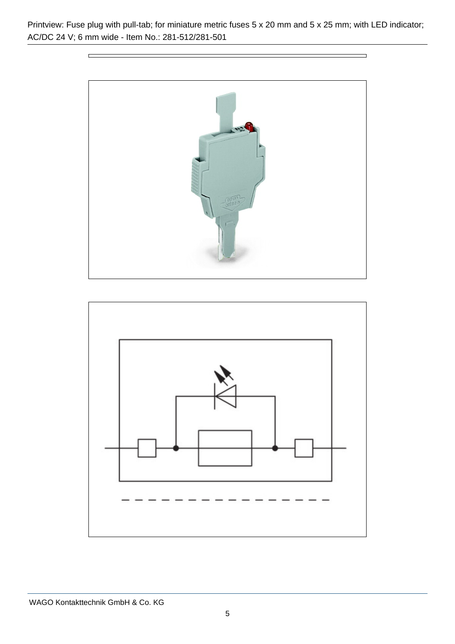$\overline{\phantom{0}}$ 





 $\Box$